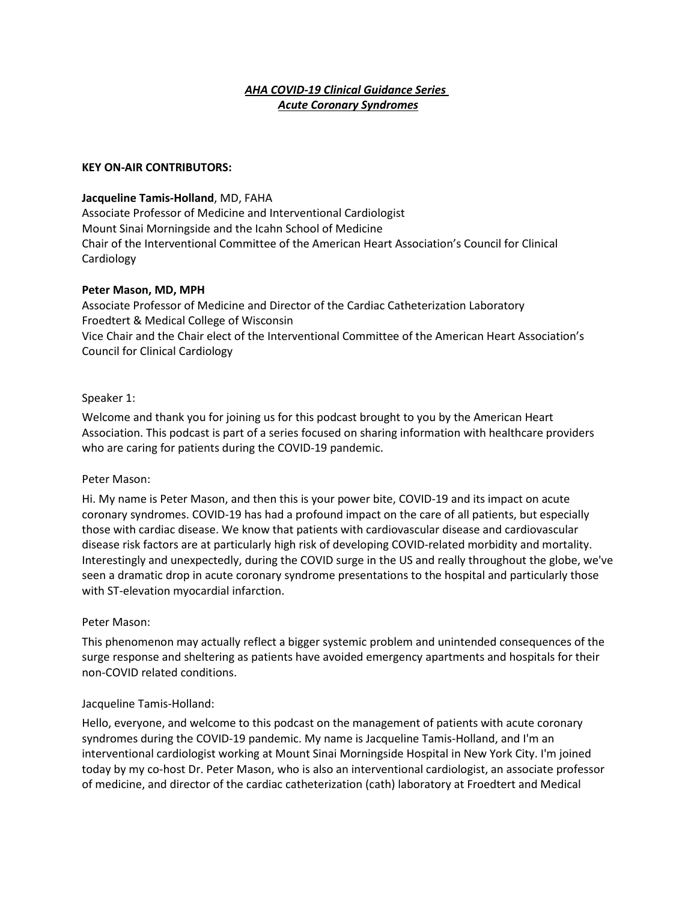# *AHA COVID-19 Clinical Guidance Series Acute Coronary Syndromes*

#### **KEY ON-AIR CONTRIBUTORS:**

### **Jacqueline Tamis-Holland**, MD, FAHA

Associate Professor of Medicine and Interventional Cardiologist Mount Sinai Morningside and the Icahn School of Medicine Chair of the Interventional Committee of the American Heart Association's Council for Clinical Cardiology

### **Peter Mason, MD, MPH**

Associate Professor of Medicine and Director of the Cardiac Catheterization Laboratory Froedtert & Medical College of Wisconsin Vice Chair and the Chair elect of the Interventional Committee of the American Heart Association's Council for Clinical Cardiology

### Speaker 1:

Welcome and thank you for joining us for this podcast brought to you by the American Heart Association. This podcast is part of a series focused on sharing information with healthcare providers who are caring for patients during the COVID-19 pandemic.

#### Peter Mason:

Hi. My name is Peter Mason, and then this is your power bite, COVID-19 and its impact on acute coronary syndromes. COVID-19 has had a profound impact on the care of all patients, but especially those with cardiac disease. We know that patients with cardiovascular disease and cardiovascular disease risk factors are at particularly high risk of developing COVID-related morbidity and mortality. Interestingly and unexpectedly, during the COVID surge in the US and really throughout the globe, we've seen a dramatic drop in acute coronary syndrome presentations to the hospital and particularly those with ST-elevation myocardial infarction.

#### Peter Mason:

This phenomenon may actually reflect a bigger systemic problem and unintended consequences of the surge response and sheltering as patients have avoided emergency apartments and hospitals for their non-COVID related conditions.

#### Jacqueline Tamis-Holland:

Hello, everyone, and welcome to this podcast on the management of patients with acute coronary syndromes during the COVID-19 pandemic. My name is Jacqueline Tamis-Holland, and I'm an interventional cardiologist working at Mount Sinai Morningside Hospital in New York City. I'm joined today by my co-host Dr. Peter Mason, who is also an interventional cardiologist, an associate professor of medicine, and director of the cardiac catheterization (cath) laboratory at Froedtert and Medical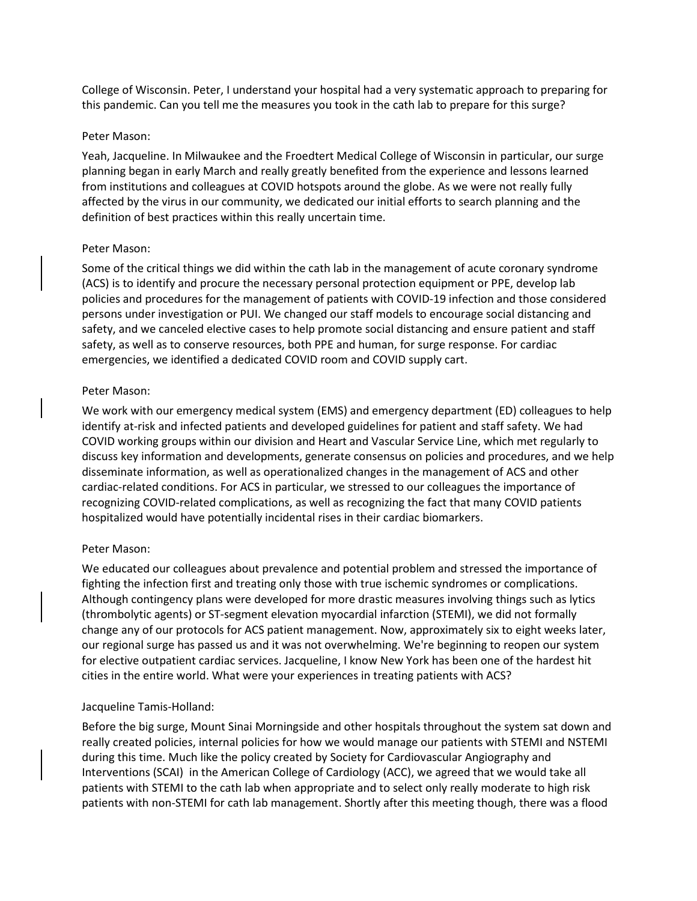College of Wisconsin. Peter, I understand your hospital had a very systematic approach to preparing for this pandemic. Can you tell me the measures you took in the cath lab to prepare for this surge?

### Peter Mason:

Yeah, Jacqueline. In Milwaukee and the Froedtert Medical College of Wisconsin in particular, our surge planning began in early March and really greatly benefited from the experience and lessons learned from institutions and colleagues at COVID hotspots around the globe. As we were not really fully affected by the virus in our community, we dedicated our initial efforts to search planning and the definition of best practices within this really uncertain time.

### Peter Mason:

Some of the critical things we did within the cath lab in the management of acute coronary syndrome (ACS) is to identify and procure the necessary personal protection equipment or PPE, develop lab policies and procedures for the management of patients with COVID-19 infection and those considered persons under investigation or PUI. We changed our staff models to encourage social distancing and safety, and we canceled elective cases to help promote social distancing and ensure patient and staff safety, as well as to conserve resources, both PPE and human, for surge response. For cardiac emergencies, we identified a dedicated COVID room and COVID supply cart.

### Peter Mason:

We work with our emergency medical system (EMS) and emergency department (ED) colleagues to help identify at-risk and infected patients and developed guidelines for patient and staff safety. We had COVID working groups within our division and Heart and Vascular Service Line, which met regularly to discuss key information and developments, generate consensus on policies and procedures, and we help disseminate information, as well as operationalized changes in the management of ACS and other cardiac-related conditions. For ACS in particular, we stressed to our colleagues the importance of recognizing COVID-related complications, as well as recognizing the fact that many COVID patients hospitalized would have potentially incidental rises in their cardiac biomarkers.

# Peter Mason:

We educated our colleagues about prevalence and potential problem and stressed the importance of fighting the infection first and treating only those with true ischemic syndromes or complications. Although contingency plans were developed for more drastic measures involving things such as lytics (thrombolytic agents) or ST-segment elevation myocardial infarction (STEMI), we did not formally change any of our protocols for ACS patient management. Now, approximately six to eight weeks later, our regional surge has passed us and it was not overwhelming. We're beginning to reopen our system for elective outpatient cardiac services. Jacqueline, I know New York has been one of the hardest hit cities in the entire world. What were your experiences in treating patients with ACS?

# Jacqueline Tamis-Holland:

Before the big surge, Mount Sinai Morningside and other hospitals throughout the system sat down and really created policies, internal policies for how we would manage our patients with STEMI and NSTEMI during this time. Much like the policy created by Society for Cardiovascular Angiography and Interventions (SCAI) in the American College of Cardiology (ACC), we agreed that we would take all patients with STEMI to the cath lab when appropriate and to select only really moderate to high risk patients with non-STEMI for cath lab management. Shortly after this meeting though, there was a flood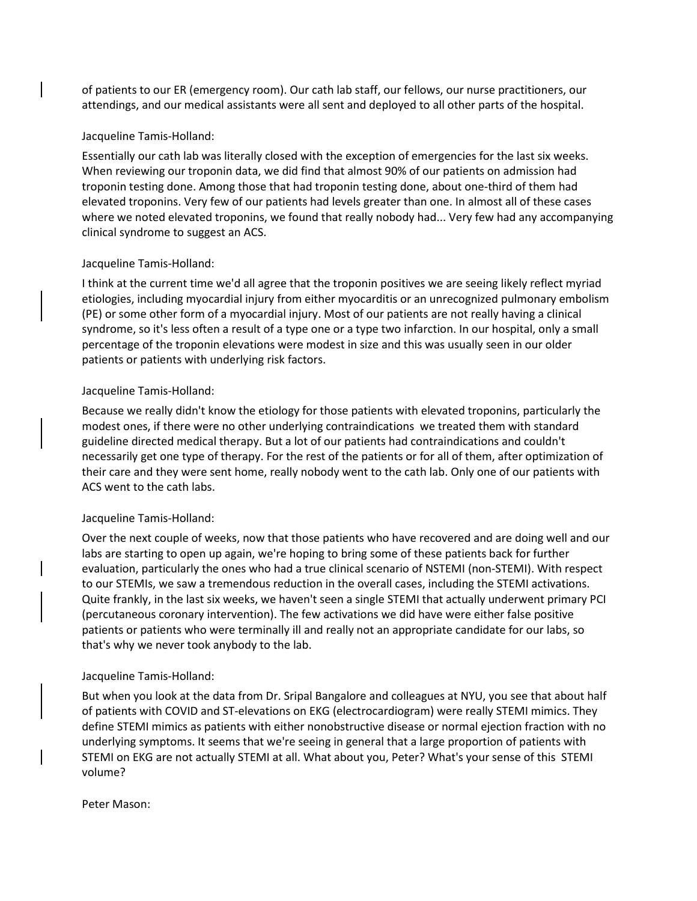of patients to our ER (emergency room). Our cath lab staff, our fellows, our nurse practitioners, our attendings, and our medical assistants were all sent and deployed to all other parts of the hospital.

### Jacqueline Tamis-Holland:

Essentially our cath lab was literally closed with the exception of emergencies for the last six weeks. When reviewing our troponin data, we did find that almost 90% of our patients on admission had troponin testing done. Among those that had troponin testing done, about one-third of them had elevated troponins. Very few of our patients had levels greater than one. In almost all of these cases where we noted elevated troponins, we found that really nobody had... Very few had any accompanying clinical syndrome to suggest an ACS.

### Jacqueline Tamis-Holland:

I think at the current time we'd all agree that the troponin positives we are seeing likely reflect myriad etiologies, including myocardial injury from either myocarditis or an unrecognized pulmonary embolism (PE) or some other form of a myocardial injury. Most of our patients are not really having a clinical syndrome, so it's less often a result of a type one or a type two infarction. In our hospital, only a small percentage of the troponin elevations were modest in size and this was usually seen in our older patients or patients with underlying risk factors.

### Jacqueline Tamis-Holland:

Because we really didn't know the etiology for those patients with elevated troponins, particularly the modest ones, if there were no other underlying contraindications we treated them with standard guideline directed medical therapy. But a lot of our patients had contraindications and couldn't necessarily get one type of therapy. For the rest of the patients or for all of them, after optimization of their care and they were sent home, really nobody went to the cath lab. Only one of our patients with ACS went to the cath labs.

#### Jacqueline Tamis-Holland:

Over the next couple of weeks, now that those patients who have recovered and are doing well and our labs are starting to open up again, we're hoping to bring some of these patients back for further evaluation, particularly the ones who had a true clinical scenario of NSTEMI (non-STEMI). With respect to our STEMIs, we saw a tremendous reduction in the overall cases, including the STEMI activations. Quite frankly, in the last six weeks, we haven't seen a single STEMI that actually underwent primary PCI (percutaneous coronary intervention). The few activations we did have were either false positive patients or patients who were terminally ill and really not an appropriate candidate for our labs, so that's why we never took anybody to the lab.

#### Jacqueline Tamis-Holland:

But when you look at the data from Dr. Sripal Bangalore and colleagues at NYU, you see that about half of patients with COVID and ST-elevations on EKG (electrocardiogram) were really STEMI mimics. They define STEMI mimics as patients with either nonobstructive disease or normal ejection fraction with no underlying symptoms. It seems that we're seeing in general that a large proportion of patients with STEMI on EKG are not actually STEMI at all. What about you, Peter? What's your sense of this STEMI volume?

Peter Mason: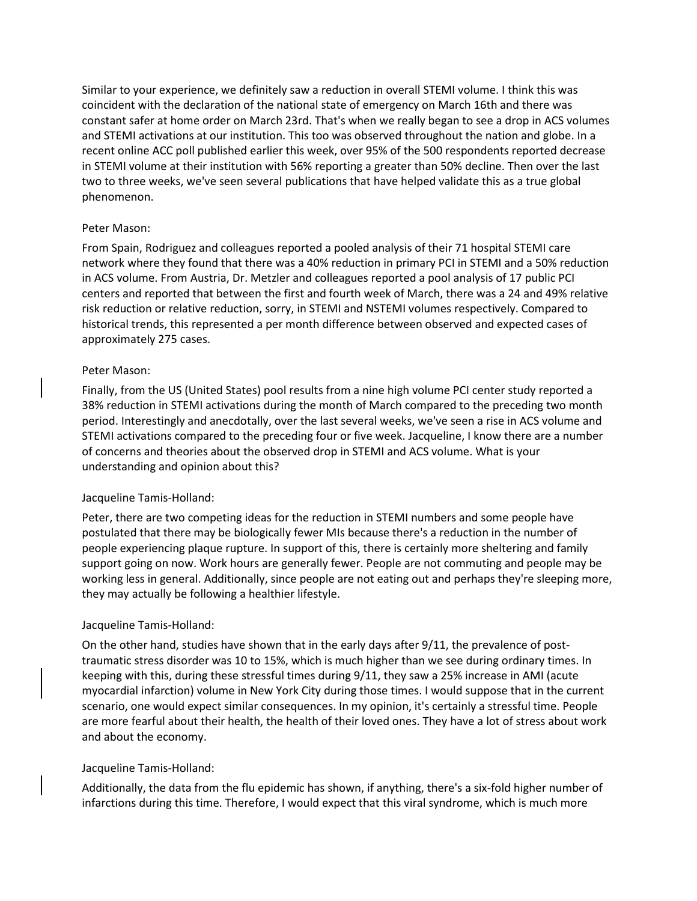Similar to your experience, we definitely saw a reduction in overall STEMI volume. I think this was coincident with the declaration of the national state of emergency on March 16th and there was constant safer at home order on March 23rd. That's when we really began to see a drop in ACS volumes and STEMI activations at our institution. This too was observed throughout the nation and globe. In a recent online ACC poll published earlier this week, over 95% of the 500 respondents reported decrease in STEMI volume at their institution with 56% reporting a greater than 50% decline. Then over the last two to three weeks, we've seen several publications that have helped validate this as a true global phenomenon.

# Peter Mason:

From Spain, Rodriguez and colleagues reported a pooled analysis of their 71 hospital STEMI care network where they found that there was a 40% reduction in primary PCI in STEMI and a 50% reduction in ACS volume. From Austria, Dr. Metzler and colleagues reported a pool analysis of 17 public PCI centers and reported that between the first and fourth week of March, there was a 24 and 49% relative risk reduction or relative reduction, sorry, in STEMI and NSTEMI volumes respectively. Compared to historical trends, this represented a per month difference between observed and expected cases of approximately 275 cases.

# Peter Mason:

Finally, from the US (United States) pool results from a nine high volume PCI center study reported a 38% reduction in STEMI activations during the month of March compared to the preceding two month period. Interestingly and anecdotally, over the last several weeks, we've seen a rise in ACS volume and STEMI activations compared to the preceding four or five week. Jacqueline, I know there are a number of concerns and theories about the observed drop in STEMI and ACS volume. What is your understanding and opinion about this?

# Jacqueline Tamis-Holland:

Peter, there are two competing ideas for the reduction in STEMI numbers and some people have postulated that there may be biologically fewer MIs because there's a reduction in the number of people experiencing plaque rupture. In support of this, there is certainly more sheltering and family support going on now. Work hours are generally fewer. People are not commuting and people may be working less in general. Additionally, since people are not eating out and perhaps they're sleeping more, they may actually be following a healthier lifestyle.

# Jacqueline Tamis-Holland:

On the other hand, studies have shown that in the early days after 9/11, the prevalence of posttraumatic stress disorder was 10 to 15%, which is much higher than we see during ordinary times. In keeping with this, during these stressful times during 9/11, they saw a 25% increase in AMI (acute myocardial infarction) volume in New York City during those times. I would suppose that in the current scenario, one would expect similar consequences. In my opinion, it's certainly a stressful time. People are more fearful about their health, the health of their loved ones. They have a lot of stress about work and about the economy.

# Jacqueline Tamis-Holland:

Additionally, the data from the flu epidemic has shown, if anything, there's a six-fold higher number of infarctions during this time. Therefore, I would expect that this viral syndrome, which is much more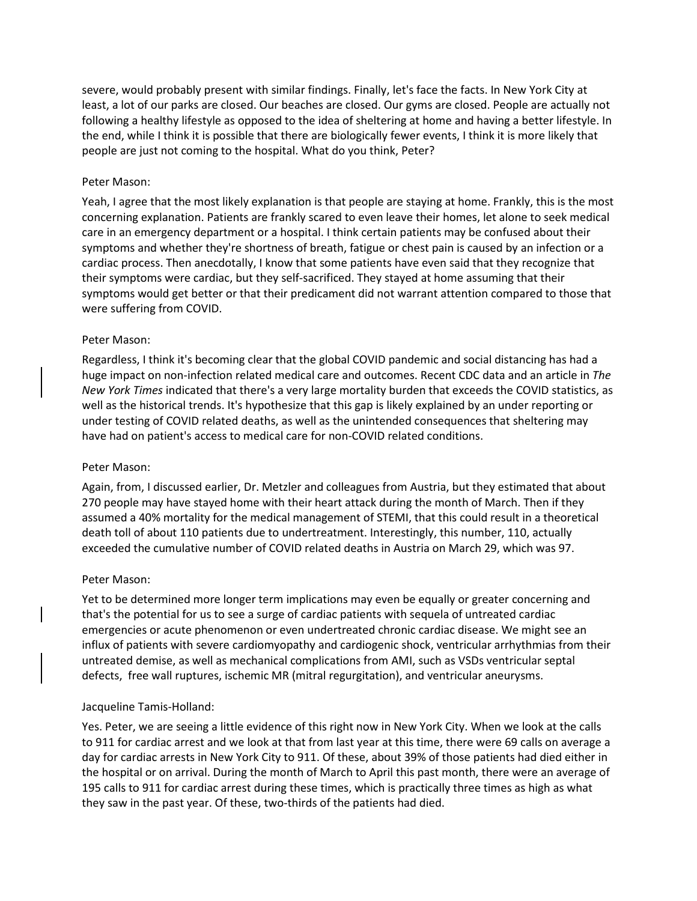severe, would probably present with similar findings. Finally, let's face the facts. In New York City at least, a lot of our parks are closed. Our beaches are closed. Our gyms are closed. People are actually not following a healthy lifestyle as opposed to the idea of sheltering at home and having a better lifestyle. In the end, while I think it is possible that there are biologically fewer events, I think it is more likely that people are just not coming to the hospital. What do you think, Peter?

#### Peter Mason:

Yeah, I agree that the most likely explanation is that people are staying at home. Frankly, this is the most concerning explanation. Patients are frankly scared to even leave their homes, let alone to seek medical care in an emergency department or a hospital. I think certain patients may be confused about their symptoms and whether they're shortness of breath, fatigue or chest pain is caused by an infection or a cardiac process. Then anecdotally, I know that some patients have even said that they recognize that their symptoms were cardiac, but they self-sacrificed. They stayed at home assuming that their symptoms would get better or that their predicament did not warrant attention compared to those that were suffering from COVID.

### Peter Mason:

Regardless, I think it's becoming clear that the global COVID pandemic and social distancing has had a huge impact on non-infection related medical care and outcomes. Recent CDC data and an article in *The New York Times* indicated that there's a very large mortality burden that exceeds the COVID statistics, as well as the historical trends. It's hypothesize that this gap is likely explained by an under reporting or under testing of COVID related deaths, as well as the unintended consequences that sheltering may have had on patient's access to medical care for non-COVID related conditions.

#### Peter Mason:

Again, from, I discussed earlier, Dr. Metzler and colleagues from Austria, but they estimated that about 270 people may have stayed home with their heart attack during the month of March. Then if they assumed a 40% mortality for the medical management of STEMI, that this could result in a theoretical death toll of about 110 patients due to undertreatment. Interestingly, this number, 110, actually exceeded the cumulative number of COVID related deaths in Austria on March 29, which was 97.

# Peter Mason:

Yet to be determined more longer term implications may even be equally or greater concerning and that's the potential for us to see a surge of cardiac patients with sequela of untreated cardiac emergencies or acute phenomenon or even undertreated chronic cardiac disease. We might see an influx of patients with severe cardiomyopathy and cardiogenic shock, ventricular arrhythmias from their untreated demise, as well as mechanical complications from AMI, such as VSDs ventricular septal defects, free wall ruptures, ischemic MR (mitral regurgitation), and ventricular aneurysms.

# Jacqueline Tamis-Holland:

Yes. Peter, we are seeing a little evidence of this right now in New York City. When we look at the calls to 911 for cardiac arrest and we look at that from last year at this time, there were 69 calls on average a day for cardiac arrests in New York City to 911. Of these, about 39% of those patients had died either in the hospital or on arrival. During the month of March to April this past month, there were an average of 195 calls to 911 for cardiac arrest during these times, which is practically three times as high as what they saw in the past year. Of these, two-thirds of the patients had died.